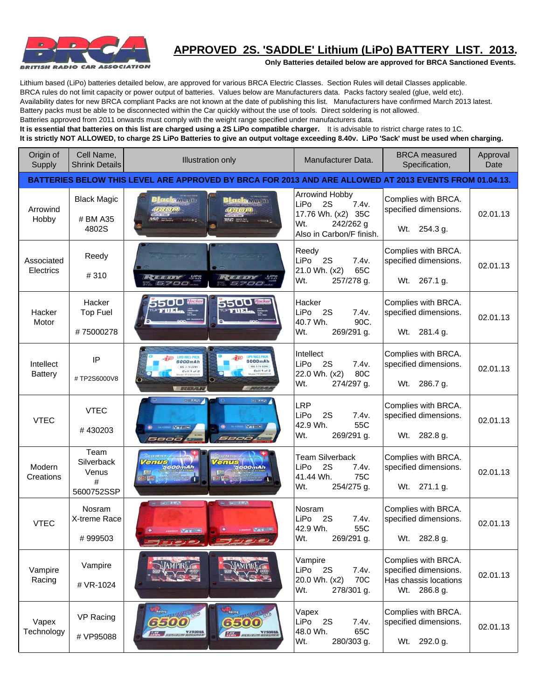

## **APPROVED 2S. 'SADDLE' Lithium (LiPo) BATTERY LIST. 2013.**

**Only Batteries detailed below are approved for BRCA Sanctioned Events.**

Lithium based (LiPo) batteries detailed below, are approved for various BRCA Electric Classes. Section Rules will detail Classes applicable. BRCA rules do not limit capacity or power output of batteries. Values below are Manufacturers data. Packs factory sealed (glue, weld etc).

Availability dates for new BRCA compliant Packs are not known at the date of publishing this list. Manufacturers have confirmed March 2013 latest.

Battery packs must be able to be disconnected within the Car quickly without the use of tools. Direct soldering is not allowed.

Batteries approved from 2011 onwards must comply with the weight range specified under manufacturers data.

**It is essential that batteries on this list are charged using a 2S LiPo compatible charger.** It is advisable to ristrict charge rates to 1C.

**It is strictly NOT ALLOWED, to charge 2S LiPo Batteries to give an output voltage exceeding 8.40v. LiPo 'Sack' must be used when charging.**

| Origin of<br>Supply         | Cell Name,<br><b>Shrink Details</b>            | <b>Illustration only</b>                                                                                                                                                                                                                                                                                                                                                                                                                                                                                                                                                             | Manufacturer Data.                                                                                                 | <b>BRCA</b> measured<br>Specification,                                                | Approval<br>Date |
|-----------------------------|------------------------------------------------|--------------------------------------------------------------------------------------------------------------------------------------------------------------------------------------------------------------------------------------------------------------------------------------------------------------------------------------------------------------------------------------------------------------------------------------------------------------------------------------------------------------------------------------------------------------------------------------|--------------------------------------------------------------------------------------------------------------------|---------------------------------------------------------------------------------------|------------------|
|                             |                                                | BATTERIES BELOW THIS LEVEL ARE APPROVED BY BRCA FOR 2013 AND ARE ALLOWED AT 2013 EVENTS FROM 01.04.13.                                                                                                                                                                                                                                                                                                                                                                                                                                                                               |                                                                                                                    |                                                                                       |                  |
| Arrowind<br>Hobby           | <b>Black Magic</b><br># BM A35<br>4802S        | <b>Kolla</b> de<br>lenciks massive<br>$-1$ or $\Delta$<br>$350 = 325$                                                                                                                                                                                                                                                                                                                                                                                                                                                                                                                | <b>Arrowind Hobby</b><br>LiPo<br>2S<br>7.4v.<br>17.76 Wh. (x2) 35C<br>242/262 g<br>Wt.<br>Also in Carbon/F finish. | Complies with BRCA.<br>specified dimensions.<br>254.3 g.<br>Wt.                       | 02.01.13         |
| Associated<br>Electrics     | Reedy<br>#310                                  | $\sim$<br>$-578$<br>$1 + 7711$<br>5700<br>5700                                                                                                                                                                                                                                                                                                                                                                                                                                                                                                                                       | Reedy<br>LiPo<br>7.4v.<br>2S<br>21.0 Wh. (x2)<br>65C<br>Wt.<br>257/278 g.                                          | Complies with BRCA.<br>specified dimensions.<br>Wt. 267.1 g.                          | 02.01.13         |
| Hacker<br>Motor             | Hacker<br><b>Top Fuel</b><br>#75000278         | $\overline{\bullet}$ $\overline{\bullet}$ $\overline{\bullet}$ $\overline{\bullet}$ $\overline{\bullet}$ $\overline{\bullet}$ $\overline{\bullet}$ $\overline{\bullet}$ $\overline{\bullet}$ $\overline{\bullet}$ $\overline{\bullet}$ $\overline{\bullet}$ $\overline{\bullet}$ $\overline{\bullet}$ $\overline{\bullet}$ $\overline{\bullet}$ $\overline{\bullet}$ $\overline{\bullet}$ $\overline{\bullet}$ $\overline{\bullet}$ $\overline{\bullet}$ $\overline{\bullet}$ $\overline{\bullet}$ $\overline{\bullet}$ $\overline{\$<br>5500 <b>Inc.</b><br>TUEL.<br><b>TO FUEL</b> | Hacker<br>2S<br>7.4v.<br>LiPo<br>40.7 Wh.<br>90C.<br>Wt.<br>269/291 g.                                             | Complies with BRCA.<br>specified dimensions.<br>Wt. 281.4 g.                          | 02.01.13         |
| Intellect<br><b>Battery</b> | IP<br>#TP2S6000V8                              | 6000mAh<br>6000mAh<br>80C 3.TV 22Ws<br>80C 3.7V 22Wh<br>Cell 1 of 2                                                                                                                                                                                                                                                                                                                                                                                                                                                                                                                  | Intellect<br>LiPo<br>2S<br>7.4v.<br>22.0 Wh. (x2)<br>80C<br>Wt.<br>274/297 g.                                      | Complies with BRCA.<br>specified dimensions.<br>Wt. 286.7 g.                          | 02.01.13         |
| <b>VTEC</b>                 | <b>VTEC</b><br>#430203                         | <b>DELIVERED</b><br>Γ∣⊝<br><b>SOUTHWAY</b><br>166.638<br>WATER<br><b>No. 420262</b><br><b>Window</b><br>5800<br>5800                                                                                                                                                                                                                                                                                                                                                                                                                                                                 | <b>LRP</b><br>LiPo<br>2S<br>7.4v.<br>42.9 Wh.<br>55C<br>Wt.<br>269/291 g.                                          | Complies with BRCA.<br>specified dimensions.<br>282.8 g.<br>Wt.                       | 02.01.13         |
| Modern<br>Creations         | Team<br>Silverback<br>Venus<br>#<br>5600752SSP | enus<br><b>Tenus</b><br>5600mAh<br>5600mAh                                                                                                                                                                                                                                                                                                                                                                                                                                                                                                                                           | <b>Team Silverback</b><br>LiPo<br>2S<br>7.4v.<br>75C<br>41.44 Wh.<br>Wt.<br>254/275 g.                             | Complies with BRCA.<br>specified dimensions.<br>Wt. 271.1 g.                          | 02.01.13         |
| <b>VTEC</b>                 | Nosram<br>X-treme Race<br>#999503              | $= -1.01442$<br>$= 1000$<br>Water for<br>$ 2000 - 100$                                                                                                                                                                                                                                                                                                                                                                                                                                                                                                                               | Nosram<br>LiPo<br>2S<br>7.4v.<br>42.9 Wh.<br>55C<br>Wt.<br>269/291 g.                                              | Complies with BRCA.<br>specified dimensions.<br>Wt. 282.8 g.                          | 02.01.13         |
| Vampire<br>Racing           | Vampire<br># VR-1024                           |                                                                                                                                                                                                                                                                                                                                                                                                                                                                                                                                                                                      | Vampire<br>LiPo<br>2S<br>7.4v.<br>70C<br>20.0 Wh. (x2)<br>Wt.<br>278/301 g.                                        | Complies with BRCA.<br>specified dimensions.<br>Has chassis locations<br>Wt. 286.8 g. | 02.01.13         |
| Vapex<br>Technology         | VP Racing<br># VP95088                         | <b>Thing of Mary Coo</b><br>Albans margaret Co<br><i>6500</i><br>6500<br>VYSSORS<br>Town BERRICHT HORSES                                                                                                                                                                                                                                                                                                                                                                                                                                                                             | Vapex<br>LiPo<br>2S<br>7.4v.<br>48.0 Wh.<br>65C<br>Wt.<br>280/303 g.                                               | Complies with BRCA.<br>specified dimensions.<br>Wt. 292.0 g.                          | 02.01.13         |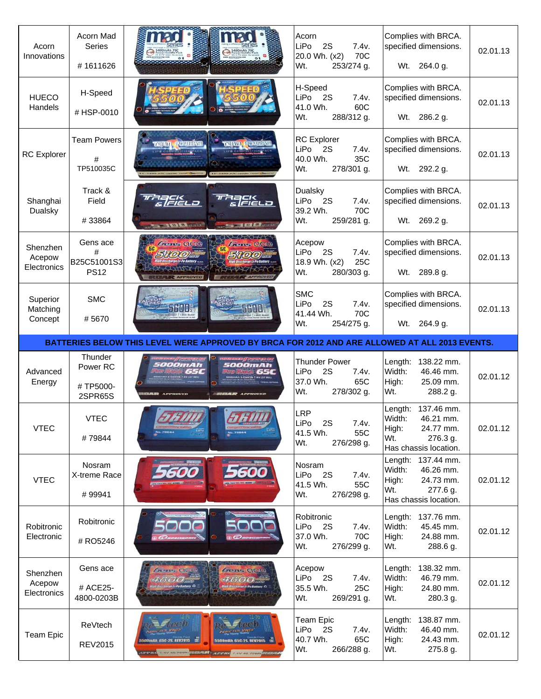| Acorn<br>Innovations              | Acorn Mad<br>Series<br>#1611626             |                                                                                                         | Acorn<br>LiPo<br>2S<br>7.4v.<br>20.0 Wh. (x2)<br>70C<br>253/274 g.<br>Wt.           | Complies with BRCA.<br>specified dimensions.<br>Wt. 264.0 g.                                                   | 02.01.13 |
|-----------------------------------|---------------------------------------------|---------------------------------------------------------------------------------------------------------|-------------------------------------------------------------------------------------|----------------------------------------------------------------------------------------------------------------|----------|
| <b>HUECO</b><br>Handels           | H-Speed<br>#HSP-0010                        |                                                                                                         | H-Speed<br><b>LiPo</b><br>2S<br>7.4v.<br>60C<br>41.0 Wh.<br>Wt.<br>288/312 g.       | Complies with BRCA.<br>specified dimensions.<br>Wt. 286.2 g.                                                   | 02.01.13 |
| <b>RC</b> Explorer                | <b>Team Powers</b><br>#<br>TP510035C        | <b>TEAM POULSE</b><br><b>DEFINI FONERS</b>                                                              | <b>RC</b> Explorer<br>LiPo<br>2S<br>7.4v.<br>40.0 Wh.<br>35C<br>Wt.<br>278/301 g.   | Complies with BRCA.<br>specified dimensions.<br>Wt. 292.2 g.                                                   | 02.01.13 |
| Shanghai<br>Dualsky               | Track &<br>Field<br>#33864                  | zack<br>s/field<br><u>elekto</u><br><b>Company's Company of the American</b><br><b>READ MANUFACTURE</b> | Dualsky<br>LiPo<br>- 2S<br>7.4v.<br>39.2 Wh.<br>70C<br>Wt.<br>259/281 g.            | Complies with BRCA.<br>specified dimensions.<br>Wt. 269.2 g.                                                   | 02.01.13 |
| Shenzhen<br>Acepow<br>Electronics | Gens ace<br>#<br>B25C51001S3<br><b>PS12</b> | <b>Gene OCO</b><br><i>Lens</i> OCC<br>5700<br><b>&amp; APPROVED</b>                                     | Acepow<br>7.4v.<br>LiPo<br>2S<br>18.9 Wh. (x2)<br>25C<br>Wt.<br>280/303 g.          | Complies with BRCA.<br>specified dimensions.<br>Wt.<br>289.8 g.                                                | 02.01.13 |
| Superior<br>Matching<br>Concept   | <b>SMC</b><br>#5670                         | <b>SBOO</b>                                                                                             | <b>SMC</b><br>LiPo<br>2S<br>7.4v.<br>70C<br>41.44 Wh.<br>Wt.<br>254/275 g.          | Complies with BRCA.<br>specified dimensions.<br>264.9 g.<br>Wt.                                                | 02.01.13 |
|                                   |                                             |                                                                                                         |                                                                                     |                                                                                                                |          |
|                                   |                                             | BATTERIES BELOW THIS LEVEL WERE APPROVED BY BRCA FOR 2012 AND ARE ALLOWED AT ALL 2013 EVENTS.           |                                                                                     |                                                                                                                |          |
| Advanced<br>Energy                | Thunder<br>Power RC<br>#TP5000-<br>2SPR65S  | <i><b>5000mAh</b></i><br>5 <i>000m</i> Ah<br>65C                                                        | <b>Thunder Power</b><br>LiPo<br>2S<br>7.4v.<br>37.0 Wh.<br>65C<br>Wt.<br>278/302 g. | 138.22 mm.<br>Length:<br>Width:<br>46.46 mm.<br>High:<br>25.09 mm.<br>Wt.<br>288.2 g.                          | 02.01.12 |
| <b>VTEC</b>                       | <b>VTEC</b><br>#79844                       |                                                                                                         | <b>LRP</b><br>LIPO.<br>25<br>7.4v.<br>41.5 Wh.<br>55C<br>Wt.<br>276/298 g.          | 137.46 mm.<br>Length:<br>Width:<br>46.21 mm.<br>High:<br>24.77 mm.<br>Wt.<br>276.3 g.<br>Has chassis location. | 02.01.12 |
| <b>VTEC</b>                       | Nosram<br>X-treme Race<br>#99941            |                                                                                                         | Nosram<br>LiPo<br>2S<br>7.4v.<br>41.5 Wh.<br>55C<br>Wt.<br>276/298 g.               | Length: 137.44 mm.<br>Width:<br>46.26 mm.<br>High:<br>24.73 mm.<br>Wt.<br>277.6 g.<br>Has chassis location.    | 02.01.12 |
| Robitronic<br>Electronic          | Robitronic<br># RO5246                      |                                                                                                         | Robitronic<br>LiPo<br>2S<br>7.4v.<br>70C<br>37.0 Wh.<br>Wt.<br>276/299 g.           | Length: 137.76 mm.<br>Width:<br>45.45 mm.<br>24.88 mm.<br>High:<br>Wt.<br>288.6 g.                             | 02.01.12 |
| Shenzhen<br>Acepow<br>Electronics | Gens ace<br># ACE25-<br>4800-0203B          | <b><i>Grants</i></b> QCC<br><i><b>Greenes</b></i> QCG<br>443(0)                                         | Acepow<br>LiPo<br><b>2S</b><br>7.4v.<br>35.5 Wh.<br>25C<br>Wt.<br>269/291 g.        | Length:<br>138.32 mm.<br>Width:<br>46.79 mm.<br>High:<br>24.80 mm.<br>Wt.<br>280.3 g.                          | 02.01.12 |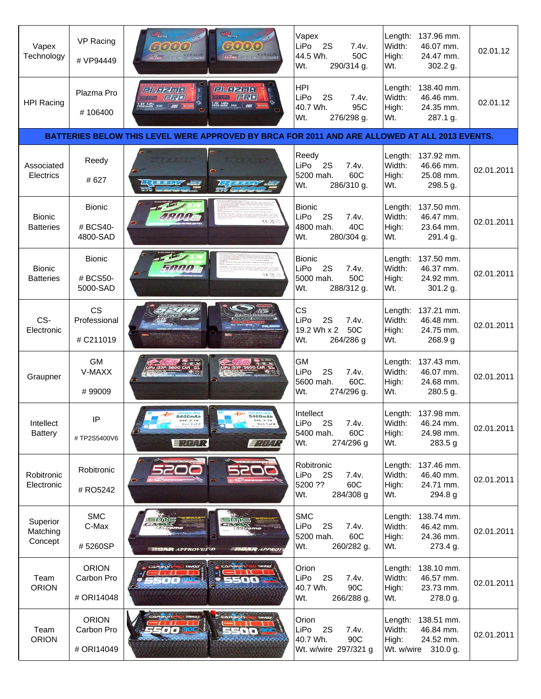| Vapex<br>Technology               | VP Racing<br># VP94449                   | Racing<br>6000<br><b>The Community of Community</b> | <b><i><u>Rating</u></i></b><br>6000<br><b>External</b> contractive contract | Vapex<br>LiPo<br>2S<br>7.4v.<br>44.5 Wh.<br>50C<br>Wt.<br>290/314 g.                          | Length:<br>Width:<br>High:<br>Wt. | 137.96 mm.<br>46.07 mm.<br>24.47 mm.<br>302.2 g.            | 02.01.12   |
|-----------------------------------|------------------------------------------|-----------------------------------------------------|-----------------------------------------------------------------------------|-----------------------------------------------------------------------------------------------|-----------------------------------|-------------------------------------------------------------|------------|
| <b>HPI Racing</b>                 | Plazma Pro<br>#106400                    | FILIZE Inital<br>FLJ<br><b>EV LIPS</b> SSC HIS ON   | <b>GLAZIAL</b><br>FK<br><b>25 UPo</b><br>7.4V LiPo<br>5600 mAh 95C HH       | <b>HPI</b><br>LiPo<br>2S<br>7.4v.<br>40.7 Wh.<br>95C<br>Wt.<br>276/298 g.                     | Length:<br>Width:<br>High:<br>Wt. | 138.40 mm.<br>46.46 mm.<br>24.35 mm.<br>287.1 g.            | 02.01.12   |
|                                   |                                          |                                                     |                                                                             | BATTERIES BELOW THIS LEVEL WERE APPROVED BY BRCA FOR 2011 AND ARE ALLOWED AT ALL 2013 EVENTS. |                                   |                                                             |            |
| Associated<br>Electrics           | Reedy<br># 627                           |                                                     |                                                                             | Reedy<br>2S<br>LiPo<br>7.4v.<br>60C<br>5200 mah.<br>Wt.<br>286/310 g.                         | Length:<br>Width:<br>High:<br>Wt. | 137.92 mm.<br>46.66 mm.<br>25.08 mm.<br>298.5 g.            | 02.01.2011 |
| <b>Bionic</b><br><b>Batteries</b> | <b>Bionic</b><br># BCS40-<br>4800-SAD    |                                                     | 性気の                                                                         | <b>Bionic</b><br>LiPo<br>2S<br>7.4v.<br>40C<br>4800 mah.<br>Wt.<br>280/304 g.                 | Length:<br>Width:<br>High:<br>Wt. | 137.50 mm.<br>46.47 mm.<br>23.64 mm.<br>291.4 g.            | 02.01.2011 |
| <b>Bionic</b><br><b>Batteries</b> | <b>Bionic</b><br># BCS50-<br>5000-SAD    |                                                     | い気子                                                                         | <b>Bionic</b><br>LiPo<br>2S<br>7.4v.<br>50C<br>5000 mah.<br>Wt.<br>288/312 g.                 | Length:<br>Width:<br>High:<br>Wt. | 137.50 mm.<br>46.37 mm.<br>24.92 mm.<br>301.2 g.            | 02.01.2011 |
| CS-<br>Electronic                 | <b>CS</b><br>Professional<br># C211019   |                                                     |                                                                             | <b>CS</b><br>LiPo<br>2S<br>7.4v.<br>19.2 Wh x 2 50C<br>Wt.<br>264/286 g                       | Length:<br>Width:<br>High:<br>Wt. | 137.21 mm.<br>46.48 mm.<br>24.75 mm.<br>268.9g              | 02.01.2011 |
| Graupner                          | <b>GM</b><br>V-MAXX<br>#99009            |                                                     |                                                                             | GM<br>LiPo<br>7.4v.<br>2S<br>60C.<br>5600 mah.<br>Wt.<br>274/296 g.                           | Length:<br>Width:<br>High:<br>Wt. | 137.43 mm.<br>46.07 mm.<br>24.68 mm.<br>280.5 g.            | 02.01.2011 |
| Intellect<br><b>Battery</b>       | IP<br>#TP2S5400V6                        | 5400mAh<br>皇帝奉祀                                     | 5400mAt<br>$\equiv$ , $/$ , $/$ , $/$                                       | Intellect<br>LiPo<br>2S<br>7.4v.<br>5400 mah.<br>60C<br>274/296 g<br>Wt.                      | Width:<br>High:<br>Wt.            | Length: 137.98 mm.<br>46.24 mm.<br>24.98 mm.<br>283.5 g     | 02.01.2011 |
| Robitronic<br>Electronic          | Robitronic<br># RO5242                   |                                                     |                                                                             | Robitronic<br>LiPo<br>2S<br>7.4v.<br>5200 ??<br>60C<br>Wt.<br>284/308 g                       | Length:<br>Width:<br>High:<br>Wt. | 137.46 mm.<br>46.40 mm.<br>24.71 mm.<br>294.8 g             | 02.01.2011 |
| Superior<br>Matching<br>Concept   | <b>SMC</b><br>C-Max<br>#5260SP           | <b>RUAR APPROVEDED</b>                              | <b>RUAR APPROV</b>                                                          | <b>SMC</b><br>LiPo<br>2S<br>7.4v.<br>60C<br>5200 mah.<br>Wt.<br>260/282 g.                    | Length:<br>Width:<br>High:<br>Wt. | 138.74 mm.<br>46.42 mm.<br>24.36 mm.<br>273.4 g.            | 02.01.2011 |
| Team<br><b>ORION</b>              | <b>ORION</b><br>Carbon Pro<br># ORI14048 | CAMBON                                              |                                                                             | Orion<br>LiPo<br>2S<br>7.4v.<br>40.7 Wh.<br>90C<br>Wt.<br>266/288 g.                          | Length:<br>Width:<br>High:<br>Wt. | 138.10 mm.<br>46.57 mm.<br>23.73 mm.<br>278.0 g.            | 02.01.2011 |
| Team<br><b>ORION</b>              | <b>ORION</b><br>Carbon Pro<br># ORI14049 |                                                     |                                                                             | Orion<br>LiPo<br>2S<br>7.4v.<br>40.7 Wh.<br>90C<br>Wt. w/wire 297/321 g                       | Length:<br>Width:<br>High:        | 138.51 mm.<br>46.84 mm.<br>24.52 mm.<br>Wt. w/wire 310.0 g. | 02.01.2011 |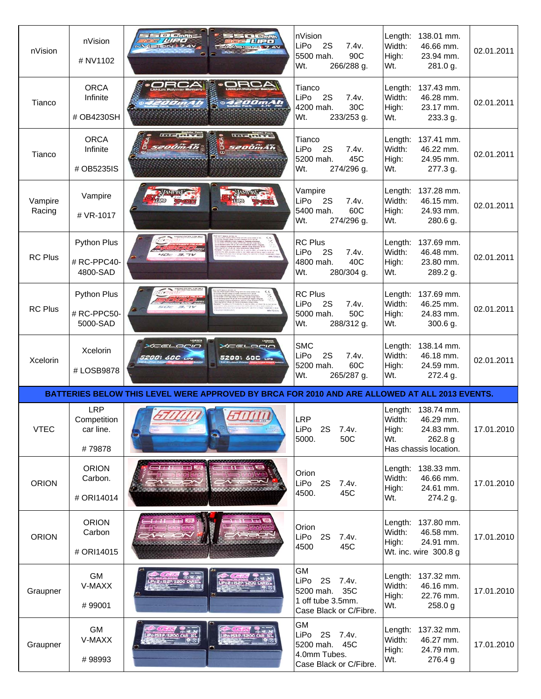| nVision           | nVision<br># NV1102                              | <b>TO Cinnh</b><br>$=$ $\sqrt{m}$<br>$147 = 7$<br><b>FULL 7.4V</b>                            | nVision<br>LiPo<br>2S<br>7.4v.<br>90C<br>5500 mah.<br>266/288 g.<br>Wt.                | Length:<br>138.01 mm.<br>Width:<br>46.66 mm.<br>High:<br>23.94 mm.<br>Wt.<br>281.0 g.                      | 02.01.2011               |
|-------------------|--------------------------------------------------|-----------------------------------------------------------------------------------------------|----------------------------------------------------------------------------------------|------------------------------------------------------------------------------------------------------------|--------------------------|
| Tianco            | <b>ORCA</b><br>Infinite<br># OB4230SH            | <b>AORO.</b><br><b>ORCA</b><br><b>SA200mAh</b><br><i><b>OOmAh</b></i>                         | Tianco<br>LiPo<br>2S<br>7.4v.<br>30C<br>4200 mah.<br>Wt.<br>233/253 g.                 | Length: 137.43 mm.<br>Width:<br>46.28 mm.<br>High:<br>23.17 mm.<br>Wt.<br>233.3 g.                         | 02.01.2011               |
| Tianco            | <b>ORCA</b><br>Infinite<br># OB5235IS            | $III - III$<br>szoömän                                                                        | Tianco<br>LiPo<br>2S<br>7.4v.<br>45C<br>5200 mah.<br>Wt.<br>274/296 g.                 | Length: 137.41 mm.<br>Width:<br>46.22 mm.<br>24.95 mm.<br>High:<br>Wt.<br>277.3 g.                         | 02.01.2011               |
| Vampire<br>Racing | Vampire<br># VR-1017                             |                                                                                               | Vampire<br>LiPo<br>7.4v.<br>- 2S<br>60C<br>5400 mah.<br>Wt.<br>274/296 g.              | Length:<br>137.28 mm.<br>Width:<br>46.15 mm.<br>High:<br>24.93 mm.<br>Wt.<br>280.6 g.                      | 02.01.2011               |
| <b>RC Plus</b>    | <b>Python Plus</b><br># RC-PPC40-<br>4800-SAD    |                                                                                               | <b>RC Plus</b><br>LiPo<br>2S<br>7.4v.<br>40C<br>4800 mah.<br>Wt.<br>280/304 g.         | 137.69 mm.<br>Length:<br>Width:<br>46.48 mm.<br>High:<br>23.80 mm.<br>Wt.<br>289.2 g.                      | 02.01.2011               |
| <b>RC Plus</b>    | <b>Python Plus</b><br># RC-PPC50-<br>5000-SAD    |                                                                                               | <b>RC Plus</b><br>LiPo<br>2S<br>7.4v.<br>50C<br>5000 mah.<br>Wt.<br>288/312 g.         | 137.69 mm.<br>Length:<br>Width:<br>46.25 mm.<br>24.83 mm.<br>High:<br>Wt.<br>300.6 g.                      | 02.01.2011               |
|                   | Xcelorin                                         | 10101078<br>XCELOCIO<br>XCELOCIO                                                              | <b>SMC</b><br>LiPo<br>2S                                                               | Length:<br>138.14 mm.                                                                                      |                          |
| Xcelorin          | # LOSB9878                                       | 52001 60C urs<br>2001 60C                                                                     | 7.4v.<br>60C<br>5200 mah.<br>Wt.<br>265/287 g.                                         | Width:<br>46.18 mm.<br>24.59 mm.<br>High:<br>Wt.<br>272.4 g.                                               | 02.01.2011               |
|                   |                                                  | BATTERIES BELOW THIS LEVEL WERE APPROVED BY BRCA FOR 2010 AND ARE ALLOWED AT ALL 2013 EVENTS. |                                                                                        |                                                                                                            |                          |
| <b>VTEC</b>       | <b>LRP</b><br>Competition<br>car line.<br>#79878 |                                                                                               | LRP<br>LiPo 2S<br>7.4v.<br>5000.<br>50C                                                | Length: 138.74 mm.<br>Width:<br>46.29 mm.<br>High:<br>24.83 mm.<br>Wt.<br>262.8 g<br>Has chassis location. | 17.01.2010               |
| <b>ORION</b>      | <b>ORION</b><br>Carbon.<br># ORI14014            |                                                                                               | Orion<br>LiPo 2S<br>7.4v.<br>45C<br>4500.                                              | 138.33 mm.<br>Length:<br>Width:<br>46.66 mm.<br>24.61 mm.<br>High:<br>Wt.<br>274.2 g.                      |                          |
| <b>ORION</b>      | <b>ORION</b><br>Carbon<br># ORI14015             |                                                                                               | Orion<br>LiPo 2S<br>7.4v.<br>45C<br>4500                                               | Length: 137.80 mm.<br>Width:<br>46.58 mm.<br>High:<br>24.91 mm.<br>Wt. inc. wire 300.8 g                   | 17.01.2010<br>17.01.2010 |
| Graupner          | GM<br>V-MAXX<br>#99001                           |                                                                                               | GM<br>LiPo 2S 7.4v.<br>5200 mah.<br>35C<br>1 off tube 3.5mm.<br>Case Black or C/Fibre. | Length:<br>137.32 mm.<br>Width:<br>46.16 mm.<br>High:<br>22.76 mm.<br>Wt.<br>258.0 g                       | 17.01.2010               |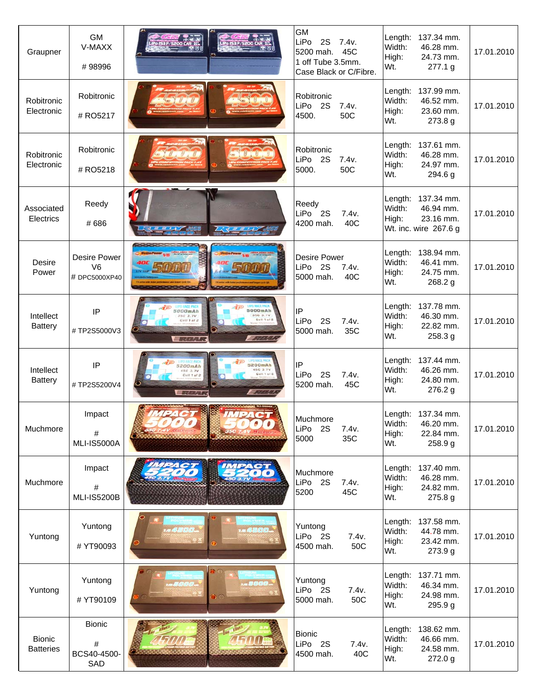| Graupner                          | <b>GM</b><br>V-MAXX<br>#98996                          |                                                                                                          | <b>GM</b><br>LiPo<br><b>2S</b><br>7.4v.<br>5200 mah.<br>45C<br>1 off Tube 3.5mm.<br>Case Black or C/Fibre. | 137.34 mm.<br>Length:<br>Width:<br>46.28 mm.<br>High:<br>24.73 mm.<br>Wt.<br>277.1 g     | 17.01.2010 |
|-----------------------------------|--------------------------------------------------------|----------------------------------------------------------------------------------------------------------|------------------------------------------------------------------------------------------------------------|------------------------------------------------------------------------------------------|------------|
| Robitronic<br>Electronic          | Robitronic<br># RO5217                                 |                                                                                                          | Robitronic<br>LiPo 2S<br>7.4v.<br>4500.<br>50C                                                             | Length:<br>137.99 mm.<br>Width:<br>46.52 mm.<br>23.60 mm.<br>High:<br>Wt.<br>273.8 g     | 17.01.2010 |
| Robitronic<br>Electronic          | Robitronic<br># RO5218                                 |                                                                                                          | Robitronic<br>LiPo 2S<br>7.4v.<br>50C<br>5000.                                                             | 137.61 mm.<br>Length:<br>Width:<br>46.28 mm.<br>24.97 mm.<br>High:<br>Wt.<br>294.6 g     | 17.01.2010 |
| Associated<br>Electrics           | Reedy<br>#686                                          |                                                                                                          | Reedy<br>LiPo 2S<br>7.4v.<br>4200 mah.<br>40C                                                              | Length: 137.34 mm.<br>Width:<br>46.94 mm.<br>High:<br>23.16 mm.<br>Wt. inc. wire 267.6 g | 17.01.2010 |
| Desire<br>Power                   | <b>Desire Power</b><br>V <sub>6</sub><br># DPC5000XP40 |                                                                                                          | <b>Desire Power</b><br>LiPo 2S<br>7.4v.<br>5000 mah.<br>40C                                                | 138.94 mm.<br>Length:<br>Width:<br>46.41 mm.<br>High:<br>24.75 mm.<br>Wt.<br>268.2 g     | 17.01.2010 |
| Intellect<br><b>Battery</b>       | IP<br>#TP2S5000V3                                      | 5000mAh<br>5000mAh<br>35C 3.7V<br>350 3.7V<br>Cell 1 of 2<br>13000<br><b>By Land Mar</b>                 | IP<br>LiPo<br>2S<br>7.4v.<br>5000 mah.<br>35C                                                              | Length:<br>137.78 mm.<br>Width:<br>46.30 mm.<br>High:<br>22.82 mm.<br>Wt.<br>258.3 g     | 17.01.2010 |
| Intellect<br><b>Battery</b>       | IP<br>#TP2S5200V4                                      | <b>UPO HACE PACK</b><br>5200mAh<br>45C 3.7V<br>450 3.7V<br>Cell 1 of<br>Cell 1 of 2<br><b>Contact Of</b> | IP<br>LiPo<br>2S<br>7.4v.<br>5200 mah.<br>45C                                                              | Length:<br>137.44 mm.<br>Width:<br>46.26 mm.<br>High:<br>24.80 mm.<br>Wt.<br>276.2 g     | 17.01.2010 |
| Muchmore                          | Impact<br>#<br><b>MLI-IS5000A</b>                      |                                                                                                          | Muchmore<br>LiPo<br>2S<br>7.4v.<br>5000<br>35C                                                             | Length: 137.34 mm.<br>Width:<br>46.20 mm.<br>High:<br>22.84 mm.<br>Wt.<br>258.9 g        | 17.01.2010 |
| Muchmore                          | Impact<br>#<br><b>MLI-IS5200B</b>                      |                                                                                                          | Muchmore<br>LiPo 2S<br>7.4v.<br>5200<br>45C                                                                | Length:<br>137.40 mm.<br>Width:<br>46.28 mm.<br>24.82 mm.<br>High:<br>Wt.<br>275.8 g     | 17.01.2010 |
| Yuntong                           | Yuntong<br># YT90093                                   | 4800.<br>网络圆圆圆                                                                                           | Yuntong<br>LiPo 2S<br>7.4v.<br>50C<br>4500 mah.                                                            | Length:<br>137.58 mm.<br>Width:<br>44.78 mm.<br>High:<br>23.42 mm.<br>Wt.<br>273.9 g     | 17.01.2010 |
| Yuntong                           | Yuntong<br># YT90109                                   | 8000.<br>-8000.                                                                                          | Yuntong<br>LiPo 2S<br>7.4v.<br>50C<br>5000 mah.                                                            | 137.71 mm.<br>Length:<br>Width:<br>46.34 mm.<br>High:<br>24.98 mm.<br>Wt.<br>295.9 g     | 17.01.2010 |
| <b>Bionic</b><br><b>Batteries</b> | <b>Bionic</b><br>#<br>BCS40-4500-<br>SAD               |                                                                                                          | <b>Bionic</b><br>LiPo 2S<br>7.4v.<br>4500 mah.<br>40C                                                      | 138.62 mm.<br>Length:<br>Width:<br>46.66 mm.<br>High:<br>24.58 mm.<br>272.0 g<br>Wt.     | 17.01.2010 |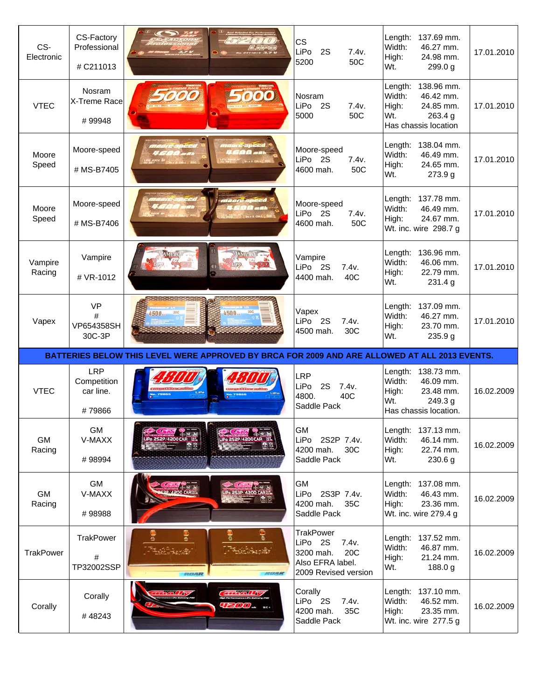| CS-<br>Electronic   | CS-Factory<br>Professional<br># C211013          |                                                                                               | <b>CS</b><br>LiPo<br>2S<br>7.4v.<br>5200<br>50C                                                                  | 137.69 mm.<br>Length:<br>46.27 mm.<br>Width:<br>High:<br>24.98 mm.<br>Wt.<br>299.0 g                          | 17.01.2010 |
|---------------------|--------------------------------------------------|-----------------------------------------------------------------------------------------------|------------------------------------------------------------------------------------------------------------------|---------------------------------------------------------------------------------------------------------------|------------|
| <b>VTEC</b>         | Nosram<br>X-Treme Race<br>#99948                 |                                                                                               | Nosram<br>LiPo<br><b>2S</b><br>7.4v.<br>50C<br>5000                                                              | 138.96 mm.<br>Length:<br>Width:<br>46.42 mm.<br>24.85 mm.<br>High:<br>Wt.<br>263.4 g<br>Has chassis location  | 17.01.2010 |
| Moore<br>Speed      | Moore-speed<br># MS-B7405                        | e-speed<br><b>DO</b> mai                                                                      | Moore-speed<br>LiPo 2S<br>7.4v.<br>4600 mah.<br>50C                                                              | Length:<br>138.04 mm.<br>Width:<br>46.49 mm.<br>High:<br>24.65 mm.<br>Wt.<br>273.9 g                          | 17.01.2010 |
| Moore<br>Speed      | Moore-speed<br># MS-B7406                        | maanz<br><b>Dari</b>                                                                          | Moore-speed<br>LiPo 2S<br>7.4v.<br>4600 mah.<br>50C                                                              | 137.78 mm.<br>Length:<br>Width:<br>46.49 mm.<br>High:<br>24.67 mm.<br>Wt. inc. wire 298.7 g                   | 17.01.2010 |
| Vampire<br>Racing   | Vampire<br># VR-1012                             |                                                                                               | Vampire<br>LiPo 2S<br>7.4v.<br>4400 mah.<br>40C                                                                  | 136.96 mm.<br>Length:<br>Width:<br>46.06 mm.<br>22.79 mm.<br>High:<br>Wt.<br>231.4 g                          | 17.01.2010 |
| Vapex               | <b>VP</b><br>#<br>VP654358SH                     | 30C<br>4500<br>4500-                                                                          | Vapex<br>LiPo 2S<br>7.4v.                                                                                        | 137.09 mm.<br>Length:<br>Width:<br>46.27 mm.<br>23.70 mm.<br>High:                                            | 17.01.2010 |
|                     | 30C-3P                                           |                                                                                               | 4500 mah.<br>30C                                                                                                 | Wt.<br>235.9 g                                                                                                |            |
|                     |                                                  | BATTERIES BELOW THIS LEVEL WERE APPROVED BY BRCA FOR 2009 AND ARE ALLOWED AT ALL 2013 EVENTS. |                                                                                                                  |                                                                                                               |            |
| <b>VTEC</b>         | <b>LRP</b><br>Competition<br>car line.<br>#79866 |                                                                                               | <b>LRP</b><br>LiPo<br>2S<br>7.4v.<br>4800.<br>40C<br>Saddle Pack                                                 | Length:<br>138.73 mm.<br>Width:<br>46.09 mm.<br>High:<br>23.48 mm.<br>Wt.<br>249.3 g<br>Has chassis location. | 16.02.2009 |
| <b>GM</b><br>Racing | <b>GM</b><br>V-MAXX<br>#98994                    |                                                                                               | <b>GM</b><br>LiPo<br>2S2P 7.4v.<br>4200 mah.<br>30C<br>Saddle Pack                                               | Length:<br>137.13 mm.<br>Width:<br>46.14 mm.<br>High:<br>22.74 mm.<br>Wt.<br>230.6 g                          | 16.02.2009 |
| <b>GM</b><br>Racing | <b>GM</b><br>V-MAXX<br>#98988                    | 2P/4200 CARSS<br>Po 253P/4200 CARG                                                            | <b>GM</b><br>LiPo<br>2S3P 7.4v.<br>4200 mah.<br>35C<br>Saddle Pack                                               | Length:<br>137.08 mm.<br>Width:<br>46.43 mm.<br>High:<br>23.36 mm.<br>Wt. inc. wire 279.4 g                   | 16.02.2009 |
| <b>TrakPower</b>    | <b>TrakPower</b><br>#<br>TP32002SSP              | FEERALE<br><b>FEERALE</b>                                                                     | <b>TrakPower</b><br>LiPo 2S<br>7.4v.<br>3200 mah.<br>20 <sub>C</sub><br>Also EFRA label.<br>2009 Revised version | Length:<br>137.52 mm.<br>Width:<br>46.87 mm.<br>High:<br>21.24 mm.<br>Wt.<br>188.0 g                          | 16.02.2009 |